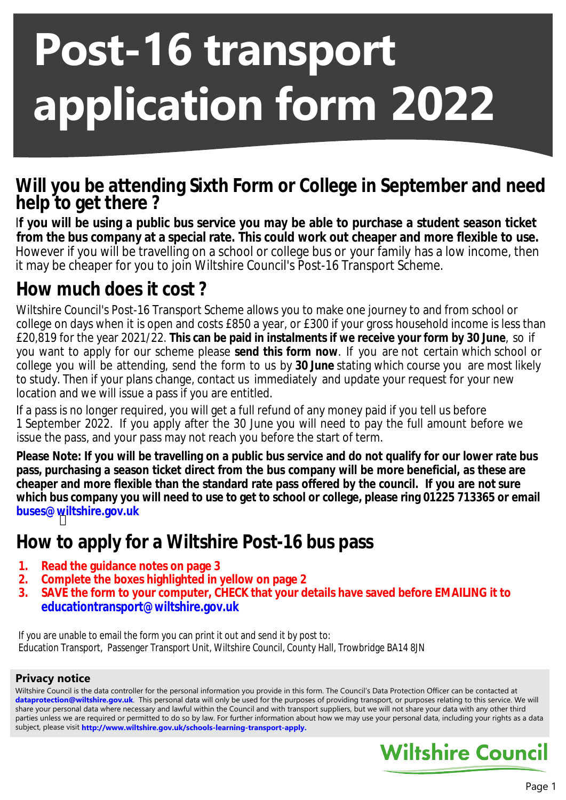# **Post-16 transport application form 2022**

### **Will you be attending Sixth Form or College in September and need help to get there ?**

I**f you will be using a public bus service you may be able to purchase a student season ticket from the bus company at a special rate. This could work out cheaper and more flexible to use.** However if you will be travelling on a school or college bus or your family has a low income, then it may be cheaper for you to join Wiltshire Council's Post-16 Transport Scheme.

# **How much does it cost ?**

Wiltshire Council's Post-16 Transport Scheme allows you to make one journey to and from school or college on days when it is open and costs £850 a year, or £300 if your gross household income is less than £20,819 for the year 2021/22. **This can be paid in instalments if we receive your form by 30 June**, so if you want to apply for our scheme please **send this form now**. If you are not certain which school or college you will be attending, send the form to us by **30 June** stating which course you are most likely to study. Then if your plans change, contact us immediately and update your request for your new location and we will issue a pass if you are entitled.

If a pass is no longer required, you will get a full refund of any money paid if you tell us before 1 September 2022. If you apply after the 30 June you will need to pay the full amount before we issue the pass, and your pass may not reach you before the start of term.

 **buses@wiltshire.gov.uk** Please Note: If you will be travelling on a public bus service and do not qualify for our lower rate bus **pass, purchasing a season ticket direct from the bus company will be more beneficial, as these are cheaper and more flexible than the standard rate pass offered by the council. If you are not sure which bus company you will need to use to get to school or college, please ring 01225 713365 or email**

## **How to apply for a Wiltshire Post-16 bus pass**

- **1. Read the guidance notes on page 3**
- **2. Complete the boxes highlighted in yellow on page 2**
- **3. SAVE the form to your computer, CHECK that your details have saved before EMAILING it to educationtransport@wiltshire.gov.uk**

If you are unable to email the form you can print it out and send it by post to: Education Transport, Passenger Transport Unit, Wiltshire Council, County Hall, Trowbridge BA14 8JN

#### **Privacy notice**

Wiltshire Council is the data controller for the personal information you provide in this form. The Council's Data Protection Officer can be contacted at **dataprotection@wiltshire.gov.uk**. This personal data will only be used for the purposes of providing transport, or purposes relating to this service. We will share your personal data where necessary and lawful within the Council and with transport suppliers, but we will not share your data with any other third parties unless we are required or permitted to do so by law. For further information about how we may use your personal data, including your rights as a data subject, please visit **[http://www.wiltshire.gov.uk/schools-learning-transport-a](http://www.wiltshire.gov.uk/schools-learning-transport-apply)pply.**

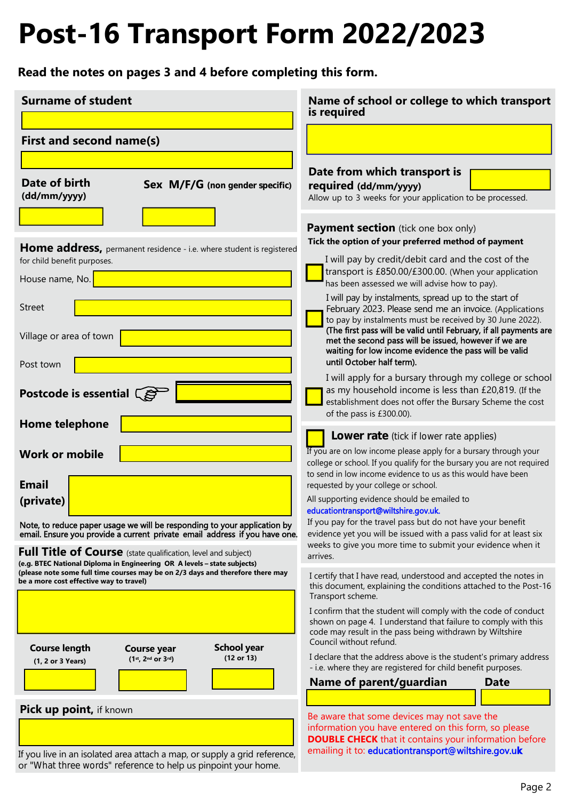# **Post-16 Transport Form 2022/2023**

**Read the notes on pages 3 and 4 before completing this form.**

| <b>Surname of student</b>                                                                                                                                                                             | Name of school or college to which transport<br>is required                                                                                                                                                                                                                                                                                                         |
|-------------------------------------------------------------------------------------------------------------------------------------------------------------------------------------------------------|---------------------------------------------------------------------------------------------------------------------------------------------------------------------------------------------------------------------------------------------------------------------------------------------------------------------------------------------------------------------|
|                                                                                                                                                                                                       |                                                                                                                                                                                                                                                                                                                                                                     |
| First and second name(s)                                                                                                                                                                              |                                                                                                                                                                                                                                                                                                                                                                     |
|                                                                                                                                                                                                       |                                                                                                                                                                                                                                                                                                                                                                     |
| Date of birth<br><b>Sex M/F/G</b> (non gender specific)<br>(dd/mm/yyyy)                                                                                                                               | Date from which transport is<br>required (dd/mm/yyyy)<br>Allow up to 3 weeks for your application to be processed.                                                                                                                                                                                                                                                  |
|                                                                                                                                                                                                       | <b>Payment section</b> (tick one box only)                                                                                                                                                                                                                                                                                                                          |
|                                                                                                                                                                                                       | Tick the option of your preferred method of payment                                                                                                                                                                                                                                                                                                                 |
| <b>Home address,</b> permanent residence - i.e. where student is registered<br>for child benefit purposes.                                                                                            | I will pay by credit/debit card and the cost of the                                                                                                                                                                                                                                                                                                                 |
| House name, No.                                                                                                                                                                                       | transport is £850.00/£300.00. (When your application<br>has been assessed we will advise how to pay).                                                                                                                                                                                                                                                               |
| <b>Street</b><br>Village or area of town                                                                                                                                                              | I will pay by instalments, spread up to the start of<br>February 2023. Please send me an invoice. (Applications<br>to pay by instalments must be received by 30 June 2022).<br>(The first pass will be valid until February, if all payments are<br>met the second pass will be issued, however if we are<br>waiting for low income evidence the pass will be valid |
| Post town                                                                                                                                                                                             | until October half term).                                                                                                                                                                                                                                                                                                                                           |
| Postcode is essential $\widehat{\mathbb{S}}$<br><b>Home telephone</b>                                                                                                                                 | I will apply for a bursary through my college or school<br>as my household income is less than £20,819. (If the<br>establishment does not offer the Bursary Scheme the cost<br>of the pass is £300.00).                                                                                                                                                             |
|                                                                                                                                                                                                       | Lower rate (tick if lower rate applies)                                                                                                                                                                                                                                                                                                                             |
| <b>Work or mobile</b><br><b>Email</b>                                                                                                                                                                 | If you are on low income please apply for a bursary through your<br>college or school. If you qualify for the bursary you are not required<br>to send in low income evidence to us as this would have been                                                                                                                                                          |
| (private)                                                                                                                                                                                             | requested by your college or school.<br>All supporting evidence should be emailed to<br>educationtransport@wiltshire.gov.uk.                                                                                                                                                                                                                                        |
| Note, to reduce paper usage we will be responding to your application by<br>email. Ensure you provide a current private email address if you have one.                                                | If you pay for the travel pass but do not have your benefit<br>evidence yet you will be issued with a pass valid for at least six                                                                                                                                                                                                                                   |
| <b>Full Title of Course</b> (state qualification, level and subject)                                                                                                                                  | weeks to give you more time to submit your evidence when it<br>arrives.                                                                                                                                                                                                                                                                                             |
| (e.g. BTEC National Diploma in Engineering OR A levels - state subjects)<br>(please note some full time courses may be on 2/3 days and therefore there may<br>be a more cost effective way to travel) | I certify that I have read, understood and accepted the notes in<br>this document, explaining the conditions attached to the Post-16<br>Transport scheme.                                                                                                                                                                                                           |
|                                                                                                                                                                                                       | I confirm that the student will comply with the code of conduct<br>shown on page 4. I understand that failure to comply with this<br>code may result in the pass being withdrawn by Wiltshire                                                                                                                                                                       |
| <b>School year</b><br><b>Course length</b><br>Course year<br>(12 or 13)<br>$(1st, 2nd or 3rd)$<br>(1, 2 or 3 Years)                                                                                   | Council without refund.<br>I declare that the address above is the student's primary address<br>- i.e. where they are registered for child benefit purposes.                                                                                                                                                                                                        |
|                                                                                                                                                                                                       | Name of parent/guardian<br>Date                                                                                                                                                                                                                                                                                                                                     |
|                                                                                                                                                                                                       |                                                                                                                                                                                                                                                                                                                                                                     |
| <b>Pick up point, if known</b>                                                                                                                                                                        | Be aware that some devices may not save the<br>information you have entered on this form, so please<br><b>DOUBLE CHECK</b> that it contains your information before                                                                                                                                                                                                 |
| If you live in an isolated area attach a map, or supply a grid reference,<br>or "What three words" reference to help us pinpoint your home.                                                           | emailing it to: educationtransport@wiltshire.gov.uk                                                                                                                                                                                                                                                                                                                 |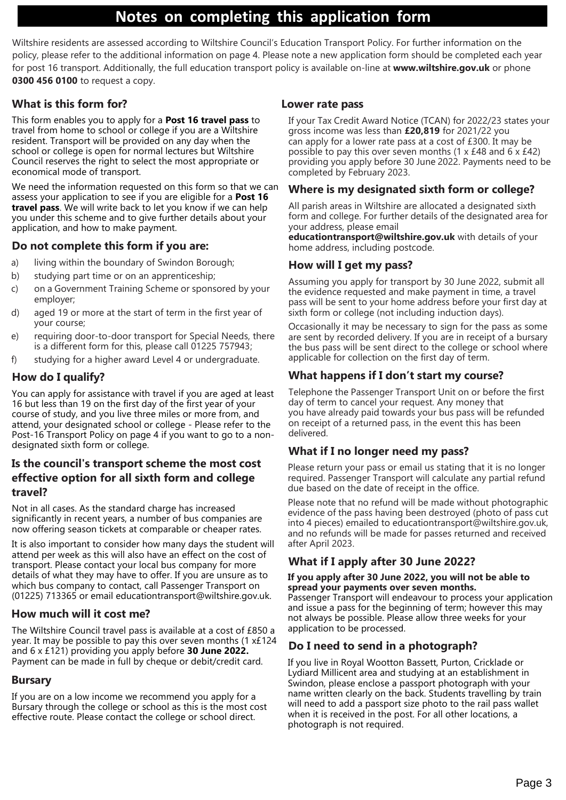### **Notes on completing this application form**

Wiltshire residents are assessed according to Wiltshire Council's Education Transport Policy. For further information on the policy, please refer to the additional information on page 4. Please note a new application form should be completed each year for post 16 transport. Additionally, the full education transport policy is available on-line at **[www.wiltshire.gov.uk](http://www.wiltshire.gov.uk/)** or phone **0300 456 0100** to request a copy.

#### **What is this form for?**

This form enables you to apply for a **Post 16 travel pass** to travel from home to school or college if you are a Wiltshire resident. Transport will be provided on any day when the school or college is open for normal lectures but Wiltshire Council reserves the right to select the most appropriate or economical mode of transport.

We need the information requested on this form so that we can assess your application to see if you are eligible for a **Post 16 travel pass**. We will write back to let you know if we can help you under this scheme and to give further details about your application, and how to make payment.

#### **Do not complete this form if you are:**

- a) living within the boundary of Swindon Borough;
- b) studying part time or on an apprenticeship;
- c) on a Government Training Scheme or sponsored by your employer;
- d) aged 19 or more at the start of term in the first year of your course;
- e) requiring door-to-door transport for Special Needs, there is a different form for this, please call 01225 757943;
- studying for a higher award Level 4 or undergraduate.

#### **How do I qualify?**

You can apply for assistance with travel if you are aged at least 16 but less than 19 on the first day of the first year of your course of study, and you live three miles or more from, and attend, your designated school or college - Please refer to the Post-16 Transport Policy on page 4 if you want to go to a nondesignated sixth form or college.

#### **Is the council's transport scheme the most cost effective option for all sixth form and college travel?**

Not in all cases. As the standard charge has increased significantly in recent years, a number of bus companies are now offering season tickets at comparable or cheaper rates.

It is also important to consider how many days the student will attend per week as this will also have an effect on the cost of transport. Please contact your local bus company for more details of what they may have to offer. If you are unsure as to which bus company to contact, call Passenger Transport on (01225) 713365 or email [educationtransport@wiltshire.gov.uk.](mailto:educationtransport@wiltshire.gov.uk)

#### **How much will it cost me?**

The Wiltshire Council travel pass is available at a cost of £850 a year. It may be possible to pay this over seven months (1 x£124 and 6 x £121) providing you apply before **30 June 2022.** Payment can be made in full by cheque or debit/credit card.

#### **Bursary**

If you are on a low income we recommend you apply for a Bursary through the college or school as this is the most cost effective route. Please contact the college or school direct.

#### **Lower rate pass**

If your Tax Credit Award Notice (TCAN) for 2022/23 states your gross income was less than **£20,819** for 2021/22 you can apply for a lower rate pass at a cost of £300. It may be possible to pay this over seven months  $(1 \times \text{\pounds}48 \text{ and } 6 \times \text{\pounds}42)$ providing you apply before 30 June 2022. Payments need to be completed by February 2023.

#### **Where is my designated sixth form or college?**

All parish areas in Wiltshire are allocated a designated sixth form and college. For further details of the designated area for your address, please email

**[educationtransport@wiltshire.gov.uk](mailto:educationtransport@wiltshire.gov.uk)** with details of your home address, including postcode.

#### **How will I get my pass?**

Assuming you apply for transport by 30 June 2022, submit all the evidence requested and make payment in time, a travel pass will be sent to your home address before your first day at sixth form or college (not including induction days).

Occasionally it may be necessary to sign for the pass as some are sent by recorded delivery. If you are in receipt of a bursary the bus pass will be sent direct to the college or school where applicable for collection on the first day of term.

#### **What happens if I don't start my course?**

Telephone the Passenger Transport Unit on or before the first day of term to cancel your request. Any money that you have already paid towards your bus pass will be refunded on receipt of a returned pass, in the event this has been delivered.

#### **What if I no longer need my pass?**

Please return your pass or email us stating that it is no longer required. Passenger Transport will calculate any partial refund due based on the date of receipt in the office.

Please note that no refund will be made without photographic evidence of the pass having been destroyed (photo of pass cut into 4 pieces) emailed to [educationtransport@wiltshire.gov.uk,](mailto:educationtransport@wiltshire.gov.uk) and no refunds will be made for passes returned and received after April 2023.

#### **What if I apply after 30 June 2022?**

#### **If you apply after 30 June 2022, you will not be able to spread your payments over seven months.**

Passenger Transport will endeavour to process your application and issue a pass for the beginning of term; however this may not always be possible. Please allow three weeks for your application to be processed.

#### **Do I need to send in a photograph?**

If you live in Royal Wootton Bassett, Purton, Cricklade or Lydiard Millicent area and studying at an establishment in Swindon, please enclose a passport photograph with your name written clearly on the back. Students travelling by train will need to add a passport size photo to the rail pass wallet when it is received in the post. For all other locations, a photograph is not required.